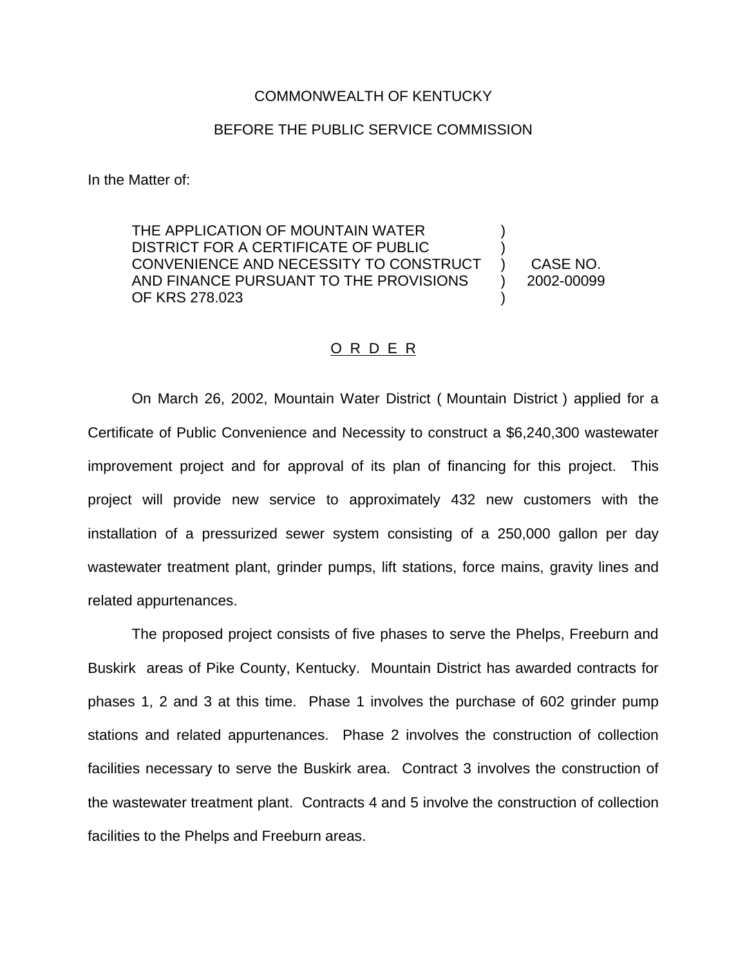## COMMONWEALTH OF KENTUCKY

## BEFORE THE PUBLIC SERVICE COMMISSION

In the Matter of:

THE APPLICATION OF MOUNTAIN WATER DISTRICT FOR A CERTIFICATE OF PUBLIC CONVENIENCE AND NECESSITY TO CONSTRUCT AND FINANCE PURSUANT TO THE PROVISIONS OF KRS 278.023 ) ) ) ) )

CASE NO. 2002-00099

## O R D E R

On March 26, 2002, Mountain Water District ( Mountain District ) applied for a Certificate of Public Convenience and Necessity to construct a \$6,240,300 wastewater improvement project and for approval of its plan of financing for this project. This project will provide new service to approximately 432 new customers with the installation of a pressurized sewer system consisting of a 250,000 gallon per day wastewater treatment plant, grinder pumps, lift stations, force mains, gravity lines and related appurtenances.

The proposed project consists of five phases to serve the Phelps, Freeburn and Buskirk areas of Pike County, Kentucky. Mountain District has awarded contracts for phases 1, 2 and 3 at this time. Phase 1 involves the purchase of 602 grinder pump stations and related appurtenances. Phase 2 involves the construction of collection facilities necessary to serve the Buskirk area. Contract 3 involves the construction of the wastewater treatment plant. Contracts 4 and 5 involve the construction of collection facilities to the Phelps and Freeburn areas.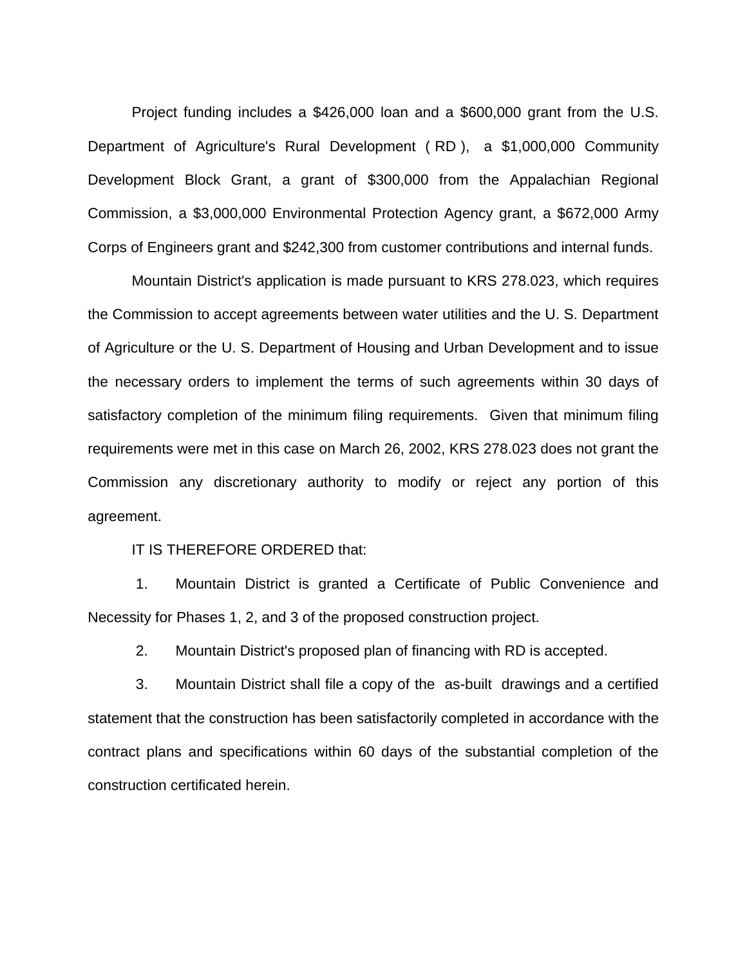Project funding includes a \$426,000 loan and a \$600,000 grant from the U.S. Department of Agriculture's Rural Development ( RD ), a \$1,000,000 Community Development Block Grant, a grant of \$300,000 from the Appalachian Regional Commission, a \$3,000,000 Environmental Protection Agency grant, a \$672,000 Army Corps of Engineers grant and \$242,300 from customer contributions and internal funds.

Mountain District's application is made pursuant to KRS 278.023, which requires the Commission to accept agreements between water utilities and the U. S. Department of Agriculture or the U. S. Department of Housing and Urban Development and to issue the necessary orders to implement the terms of such agreements within 30 days of satisfactory completion of the minimum filing requirements. Given that minimum filing requirements were met in this case on March 26, 2002, KRS 278.023 does not grant the Commission any discretionary authority to modify or reject any portion of this agreement.

IT IS THEREFORE ORDERED that:

1. Mountain District is granted a Certificate of Public Convenience and Necessity for Phases 1, 2, and 3 of the proposed construction project.

2. Mountain District's proposed plan of financing with RD is accepted.

3. Mountain District shall file a copy of the as-built drawings and a certified statement that the construction has been satisfactorily completed in accordance with the contract plans and specifications within 60 days of the substantial completion of the construction certificated herein.